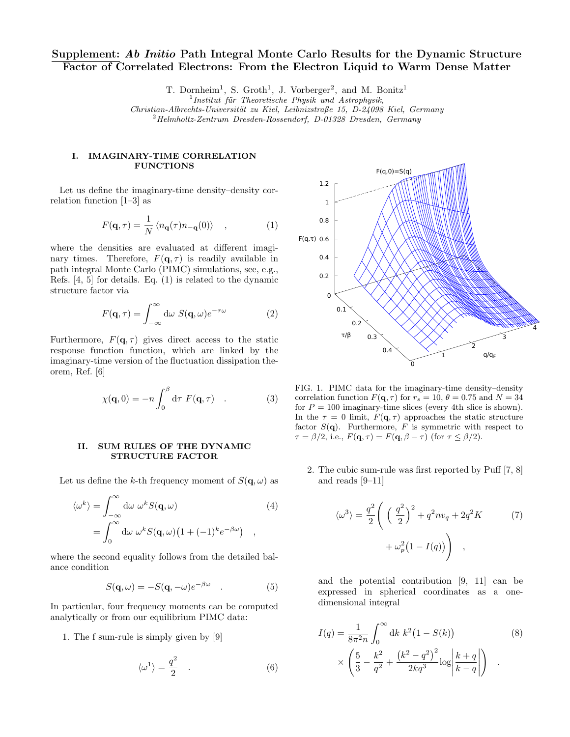# Supplement: Ab Initio Path Integral Monte Carlo Results for the Dynamic Structure Factor of Correlated Electrons: From the Electron Liquid to Warm Dense Matter

T. Dornheim<sup>1</sup>, S. Groth<sup>1</sup>, J. Vorberger<sup>2</sup>, and M. Bonitz<sup>1</sup>

Christian-Albrechts-Universität zu Kiel, Leibnizstraße 15, D-24098 Kiel, Germany

 $^{2}$ Helmholtz-Zentrum Dresden-Rossendorf, D-01328 Dresden, Germany

### I. IMAGINARY-TIME CORRELATION FUNCTIONS

Let us define the imaginary-time density–density correlation function [1–3] as

$$
F(\mathbf{q},\tau) = \frac{1}{N} \left\langle n_{\mathbf{q}}(\tau)n_{-\mathbf{q}}(0) \right\rangle , \qquad (1)
$$

where the densities are evaluated at different imaginary times. Therefore,  $F(\mathbf{q}, \tau)$  is readily available in path integral Monte Carlo (PIMC) simulations, see, e.g., Refs. [4, 5] for details. Eq. (1) is related to the dynamic structure factor via

$$
F(\mathbf{q},\tau) = \int_{-\infty}^{\infty} d\omega \ S(\mathbf{q},\omega) e^{-\tau \omega}
$$
 (2)

Furthermore,  $F(\mathbf{q}, \tau)$  gives direct access to the static response function function, which are linked by the imaginary-time version of the fluctuation dissipation theorem, Ref. [6]

$$
\chi(\mathbf{q},0) = -n \int_0^\beta \mathrm{d}\tau \ F(\mathbf{q},\tau) \quad . \tag{3}
$$

## II. SUM RULES OF THE DYNAMIC STRUCTURE FACTOR

Let us define the k-th frequency moment of  $S(\mathbf{q}, \omega)$  as

$$
\langle \omega^k \rangle = \int_{-\infty}^{\infty} d\omega \ \omega^k S(\mathbf{q}, \omega) \tag{4}
$$

$$
= \int_{0}^{\infty} d\omega \ \omega^k S(\mathbf{q}, \omega) \left(1 + (-1)^k e^{-\beta \omega}\right) ,
$$

where the second equality follows from the detailed balance condition

$$
S(\mathbf{q}, \omega) = -S(\mathbf{q}, -\omega)e^{-\beta \omega} \quad . \tag{5}
$$

In particular, four frequency moments can be computed analytically or from our equilibrium PIMC data:

1. The f sum-rule is simply given by [9]

$$
\langle \omega^1 \rangle = \frac{q^2}{2} \quad . \tag{6}
$$



FIG. 1. PIMC data for the imaginary-time density–density correlation function  $F(\mathbf{q}, \tau)$  for  $r_s = 10, \theta = 0.75$  and  $N = 34$ for  $P = 100$  imaginary-time slices (every 4th slice is shown). In the  $\tau = 0$  limit,  $F(\mathbf{q}, \tau)$  approaches the static structure factor  $S(\mathbf{q})$ . Furthermore, F is symmetric with respect to  $\tau = \beta/2$ , i.e.,  $F(\mathbf{q}, \tau) = F(\mathbf{q}, \beta - \tau)$  (for  $\tau \leq \beta/2$ ).

2. The cubic sum-rule was first reported by Puff [7, 8] and reads [9–11]

$$
\langle \omega^3 \rangle = \frac{q^2}{2} \left( \left( \frac{q^2}{2} \right)^2 + q^2 n v_q + 2q^2 K \qquad (7)
$$

$$
+ \omega_p^2 (1 - I(q)) \right) ,
$$

and the potential contribution [9, 11] can be expressed in spherical coordinates as a onedimensional integral

$$
I(q) = \frac{1}{8\pi^2 n} \int_0^\infty dk \, k^2 (1 - S(k)) \qquad (8)
$$

$$
\times \left( \frac{5}{3} - \frac{k^2}{q^2} + \frac{(k^2 - q^2)^2}{2kq^3} \log \left| \frac{k+q}{k-q} \right| \right) .
$$

 $1$ Institut für Theoretische Physik und Astrophysik,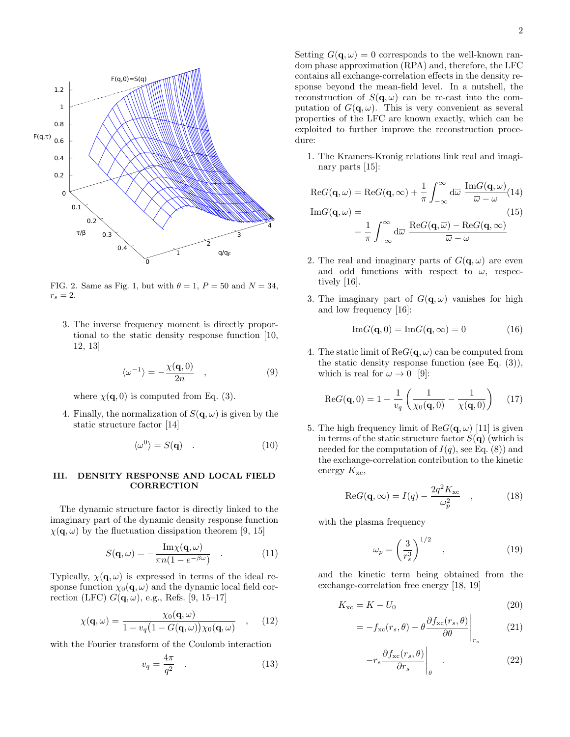

FIG. 2. Same as Fig. 1, but with  $\theta = 1$ ,  $P = 50$  and  $N = 34$ ,  $r_s=2.$ 

3. The inverse frequency moment is directly proportional to the static density response function [10, 12, 13]

$$
\langle \omega^{-1} \rangle = -\frac{\chi(\mathbf{q}, 0)}{2n} \quad , \tag{9}
$$

where  $\chi(\mathbf{q},0)$  is computed from Eq. (3).

4. Finally, the normalization of  $S(\mathbf{q}, \omega)$  is given by the static structure factor [14]

$$
\langle \omega^0 \rangle = S(\mathbf{q}) \quad . \tag{10}
$$

# III. DENSITY RESPONSE AND LOCAL FIELD CORRECTION

The dynamic structure factor is directly linked to the imaginary part of the dynamic density response function  $\chi(\mathbf{q}, \omega)$  by the fluctuation dissipation theorem [9, 15]

$$
S(\mathbf{q}, \omega) = -\frac{\operatorname{Im}\chi(\mathbf{q}, \omega)}{\pi n (1 - e^{-\beta \omega})} \quad . \tag{11}
$$

Typically,  $\chi(\mathbf{q}, \omega)$  is expressed in terms of the ideal response function  $\chi_0(\mathbf{q}, \omega)$  and the dynamic local field correction (LFC)  $G(\mathbf{q}, \omega)$ , e.g., Refs. [9, 15–17]

$$
\chi(\mathbf{q},\omega) = \frac{\chi_0(\mathbf{q},\omega)}{1 - v_q(1 - G(\mathbf{q},\omega))\chi_0(\mathbf{q},\omega)} \quad , \quad (12)
$$

with the Fourier transform of the Coulomb interaction

$$
v_q = \frac{4\pi}{q^2} \quad . \tag{13}
$$

Setting  $G(\mathbf{q}, \omega) = 0$  corresponds to the well-known random phase approximation (RPA) and, therefore, the LFC contains all exchange-correlation effects in the density re-

sponse beyond the mean-field level. In a nutshell, the reconstruction of  $S(\mathbf{q}, \omega)$  can be re-cast into the computation of  $G(\mathbf{q}, \omega)$ . This is very convenient as several properties of the LFC are known exactly, which can be exploited to further improve the reconstruction procedure:

1. The Kramers-Kronig relations link real and imaginary parts [15]:

$$
\operatorname{Re} G(\mathbf{q}, \omega) = \operatorname{Re} G(\mathbf{q}, \infty) + \frac{1}{\pi} \int_{-\infty}^{\infty} d\overline{\omega} \frac{\operatorname{Im} G(\mathbf{q}, \overline{\omega})}{\overline{\omega} - \omega} (14)
$$

$$
\operatorname{Im} G(\mathbf{q}, \omega) = -\frac{1}{\pi} \int_{-\infty}^{\infty} d\overline{\omega} \frac{\operatorname{Re} G(\mathbf{q}, \overline{\omega}) - \operatorname{Re} G(\mathbf{q}, \infty)}{\overline{\omega} - \omega} (15)
$$

- 2. The real and imaginary parts of  $G(\mathbf{q}, \omega)$  are even and odd functions with respect to  $\omega$ , respectively [16].
- 3. The imaginary part of  $G(\mathbf{q}, \omega)$  vanishes for high and low frequency [16]:

$$
\mathrm{Im}G(\mathbf{q},0) = \mathrm{Im}G(\mathbf{q},\infty) = 0 \tag{16}
$$

4. The static limit of  $\text{Re}G(\mathbf{q}, \omega)$  can be computed from the static density response function (see Eq.  $(3)$ ), which is real for  $\omega \to 0$  [9]:

$$
ReG(\mathbf{q},0) = 1 - \frac{1}{v_q} \left( \frac{1}{\chi_0(\mathbf{q},0)} - \frac{1}{\chi(\mathbf{q},0)} \right) \quad (17)
$$

5. The high frequency limit of  $\text{Re}G(\mathbf{q}, \omega)$  [11] is given in terms of the static structure factor  $S(\mathbf{q})$  (which is needed for the computation of  $I(q)$ , see Eq. (8)) and the exchange-correlation contribution to the kinetic energy  $K_{\text{xc}}$ ,

$$
ReG(\mathbf{q}, \infty) = I(q) - \frac{2q^2 K_{\rm xc}}{\omega_p^2} \quad , \tag{18}
$$

with the plasma frequency

$$
\omega_p = \left(\frac{3}{r_s^3}\right)^{1/2} \quad , \tag{19}
$$

and the kinetic term being obtained from the exchange-correlation free energy [18, 19]

$$
K_{\rm xc} = K - U_0 \tag{20}
$$

$$
= -f_{\rm xc}(r_s, \theta) - \theta \frac{\partial f_{\rm xc}(r_s, \theta)}{\partial \theta}\Big|_{r_s} \tag{21}
$$

$$
-r_s \frac{\partial f_{\rm xc}(r_s, \theta)}{\partial r_s} \Bigg|_{\theta} \qquad (22)
$$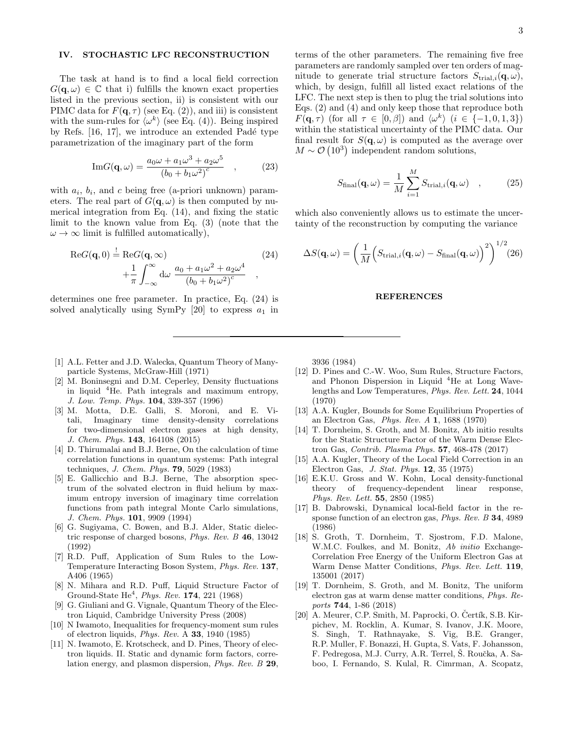# IV. STOCHASTIC LFC RECONSTRUCTION

The task at hand is to find a local field correction  $G(q,\omega) \in \mathbb{C}$  that i) fulfills the known exact properties listed in the previous section, ii) is consistent with our PIMC data for  $F(\mathbf{q}, \tau)$  (see Eq. (2)), and iii) is consistent with the sum-rules for  $\langle \omega^k \rangle$  (see Eq. (4)). Being inspired by Refs.  $[16, 17]$ , we introduce an extended Padé type parametrization of the imaginary part of the form

Im
$$
G(\mathbf{q}, \omega) = \frac{a_0 \omega + a_1 \omega^3 + a_2 \omega^5}{(b_0 + b_1 \omega^2)^c}
$$
, (23)

with  $a_i$ ,  $b_i$ , and c being free (a-priori unknown) parameters. The real part of  $G(\mathbf{q}, \omega)$  is then computed by numerical integration from Eq. (14), and fixing the static limit to the known value from Eq. (3) (note that the  $\omega \to \infty$  limit is fulfilled automatically),

$$
\operatorname{Re} G(\mathbf{q}, 0) \stackrel{!}{=} \operatorname{Re} G(\mathbf{q}, \infty) + \frac{1}{\pi} \int_{-\infty}^{\infty} d\omega \frac{a_0 + a_1 \omega^2 + a_2 \omega^4}{(b_0 + b_1 \omega^2)^c},
$$
(24)

determines one free parameter. In practice, Eq. (24) is solved analytically using SymPy [20] to express  $a_1$  in

- [1] A.L. Fetter and J.D. Walecka, Quantum Theory of Manyparticle Systems, McGraw-Hill (1971)
- [2] M. Boninsegni and D.M. Ceperley, Density fluctuations in liquid  ${}^{4}$ He. Path integrals and maximum entropy, J. Low. Temp. Phys. 104, 339-357 (1996)
- [3] M. Motta, D.E. Galli, S. Moroni, and E. Vitali, Imaginary time density-density correlations for two-dimensional electron gases at high density, J. Chem. Phys. 143, 164108 (2015)
- [4] D. Thirumalai and B.J. Berne, On the calculation of time correlation functions in quantum systems: Path integral techniques, J. Chem. Phys. 79, 5029 (1983)
- [5] E. Gallicchio and B.J. Berne, The absorption spectrum of the solvated electron in fluid helium by maximum entropy inversion of imaginary time correlation functions from path integral Monte Carlo simulations, J. Chem. Phys. 101, 9909 (1994)
- [6] G. Sugiyama, C. Bowen, and B.J. Alder, Static dielectric response of charged bosons, Phys. Rev. B 46, 13042 (1992)
- [7] R.D. Puff, Application of Sum Rules to the Low-Temperature Interacting Boson System, Phys. Rev. 137, A406 (1965)
- [8] N. Mihara and R.D. Puff, Liquid Structure Factor of Ground-State  $He^4$ , *Phys. Rev.* **174**, 221 (1968)
- [9] G. Giuliani and G. Vignale, Quantum Theory of the Electron Liquid, Cambridge University Press (2008)
- [10] N Iwamoto, Inequalities for frequency-moment sum rules of electron liquids, Phys. Rev. A 33, 1940 (1985)
- [11] N. Iwamoto, E. Krotscheck, and D. Pines, Theory of electron liquids. II. Static and dynamic form factors, correlation energy, and plasmon dispersion, Phys. Rev. B 29,

terms of the other parameters. The remaining five free parameters are randomly sampled over ten orders of magnitude to generate trial structure factors  $S_{\text{trial},i}(\mathbf{q},\omega)$ , which, by design, fulfill all listed exact relations of the LFC. The next step is then to plug the trial solutions into Eqs. (2) and (4) and only keep those that reproduce both  $F(\mathbf{q}, \tau)$  (for all  $\tau \in [0, \beta]$ ) and  $\langle \omega^k \rangle$  ( $i \in \{-1, 0, 1, 3\}$ ) within the statistical uncertainty of the PIMC data. Our final result for  $S(\mathbf{q}, \omega)$  is computed as the average over  $M \sim \mathcal{O}(10^3)$  independent random solutions,

$$
S_{\text{final}}(\mathbf{q}, \omega) = \frac{1}{M} \sum_{i=1}^{M} S_{\text{trial},i}(\mathbf{q}, \omega) , \qquad (25)
$$

which also conveniently allows us to estimate the uncertainty of the reconstruction by computing the variance

$$
\Delta S(\mathbf{q}, \omega) = \left(\frac{1}{M} \left( S_{\text{trial},i}(\mathbf{q}, \omega) - S_{\text{final}}(\mathbf{q}, \omega) \right)^2 \right)^{1/2} (26)
$$

#### REFERENCES

3936 (1984)

- [12] D. Pines and C.-W. Woo, Sum Rules, Structure Factors, and Phonon Dispersion in Liquid  ${}^{4}$ He at Long Wavelengths and Low Temperatures, Phys. Rev. Lett. 24, 1044 (1970)
- [13] A.A. Kugler, Bounds for Some Equilibrium Properties of an Electron Gas, Phys. Rev. A 1, 1688 (1970)
- [14] T. Dornheim, S. Groth, and M. Bonitz, Ab initio results for the Static Structure Factor of the Warm Dense Electron Gas, Contrib. Plasma Phys. 57, 468-478 (2017)
- [15] A.A. Kugler, Theory of the Local Field Correction in an Electron Gas, J. Stat. Phys. 12, 35 (1975)
- [16] E.K.U. Gross and W. Kohn, Local density-functional theory of frequency-dependent linear response, Phys. Rev. Lett. 55, 2850 (1985)
- [17] B. Dabrowski, Dynamical local-field factor in the response function of an electron gas, Phys. Rev. B 34, 4989 (1986)
- [18] S. Groth, T. Dornheim, T. Sjostrom, F.D. Malone, W.M.C. Foulkes, and M. Bonitz, Ab initio Exchange-Correlation Free Energy of the Uniform Electron Gas at Warm Dense Matter Conditions, Phys. Rev. Lett. 119, 135001 (2017)
- [19] T. Dornheim, S. Groth, and M. Bonitz, The uniform electron gas at warm dense matter conditions, Phys. Reports 744, 1-86 (2018)
- [20] A. Meurer, C.P. Smith, M. Paprocki, O. Čertík, S.B. Kirpichev, M. Rocklin, A. Kumar, S. Ivanov, J.K. Moore, S. Singh, T. Rathnayake, S. Vig, B.E. Granger, R.P. Muller, F. Bonazzi, H. Gupta, S. Vats, F. Johansson, F. Pedregosa, M.J. Curry, A.R. Terrel, Š. Roučka, A. Saboo, I. Fernando, S. Kulal, R. Cimrman, A. Scopatz,